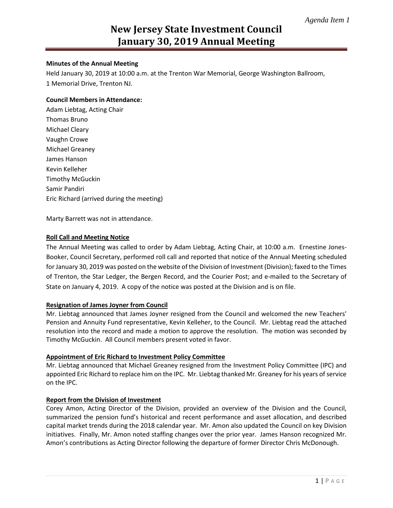# **New Jersey State Investment Council January 30, 2019 Annual Meeting**

## **Minutes of the Annual Meeting**

Held January 30, 2019 at 10:00 a.m. at the Trenton War Memorial, George Washington Ballroom, 1 Memorial Drive, Trenton NJ.

### **Council Members in Attendance:**

Adam Liebtag, Acting Chair Thomas Bruno Michael Cleary Vaughn Crowe Michael Greaney James Hanson Kevin Kelleher Timothy McGuckin Samir Pandiri Eric Richard (arrived during the meeting)

Marty Barrett was not in attendance.

## **Roll Call and Meeting Notice**

The Annual Meeting was called to order by Adam Liebtag, Acting Chair, at 10:00 a.m. Ernestine Jones-Booker, Council Secretary, performed roll call and reported that notice of the Annual Meeting scheduled for January 30, 2019 was posted on the website of the Division of Investment (Division); faxed to the Times of Trenton, the Star Ledger, the Bergen Record, and the Courier Post; and e-mailed to the Secretary of State on January 4, 2019. A copy of the notice was posted at the Division and is on file.

### **Resignation of James Joyner from Council**

Mr. Liebtag announced that James Joyner resigned from the Council and welcomed the new Teachers' Pension and Annuity Fund representative, Kevin Kelleher, to the Council. Mr. Liebtag read the attached resolution into the record and made a motion to approve the resolution. The motion was seconded by Timothy McGuckin. All Council members present voted in favor.

### **Appointment of Eric Richard to Investment Policy Committee**

Mr. Liebtag announced that Michael Greaney resigned from the Investment Policy Committee (IPC) and appointed Eric Richard to replace him on the IPC. Mr. Liebtag thanked Mr. Greaney for his years of service on the IPC.

# **Report from the Division of Investment**

Corey Amon, Acting Director of the Division, provided an overview of the Division and the Council, summarized the pension fund's historical and recent performance and asset allocation, and described capital market trends during the 2018 calendar year. Mr. Amon also updated the Council on key Division initiatives. Finally, Mr. Amon noted staffing changes over the prior year. James Hanson recognized Mr. Amon's contributions as Acting Director following the departure of former Director Chris McDonough.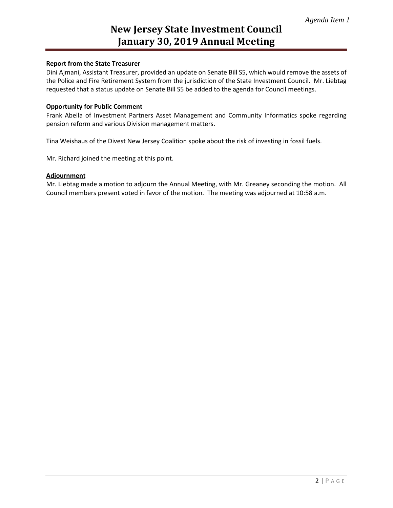# **New Jersey State Investment Council January 30, 2019 Annual Meeting**

# **Report from the State Treasurer**

Dini Ajmani, Assistant Treasurer, provided an update on Senate Bill S5, which would remove the assets of the Police and Fire Retirement System from the jurisdiction of the State Investment Council. Mr. Liebtag requested that a status update on Senate Bill S5 be added to the agenda for Council meetings.

### **Opportunity for Public Comment**

Frank Abella of Investment Partners Asset Management and Community Informatics spoke regarding pension reform and various Division management matters.

Tina Weishaus of the Divest New Jersey Coalition spoke about the risk of investing in fossil fuels.

Mr. Richard joined the meeting at this point.

### **Adjournment**

Mr. Liebtag made a motion to adjourn the Annual Meeting, with Mr. Greaney seconding the motion. All Council members present voted in favor of the motion. The meeting was adjourned at 10:58 a.m.